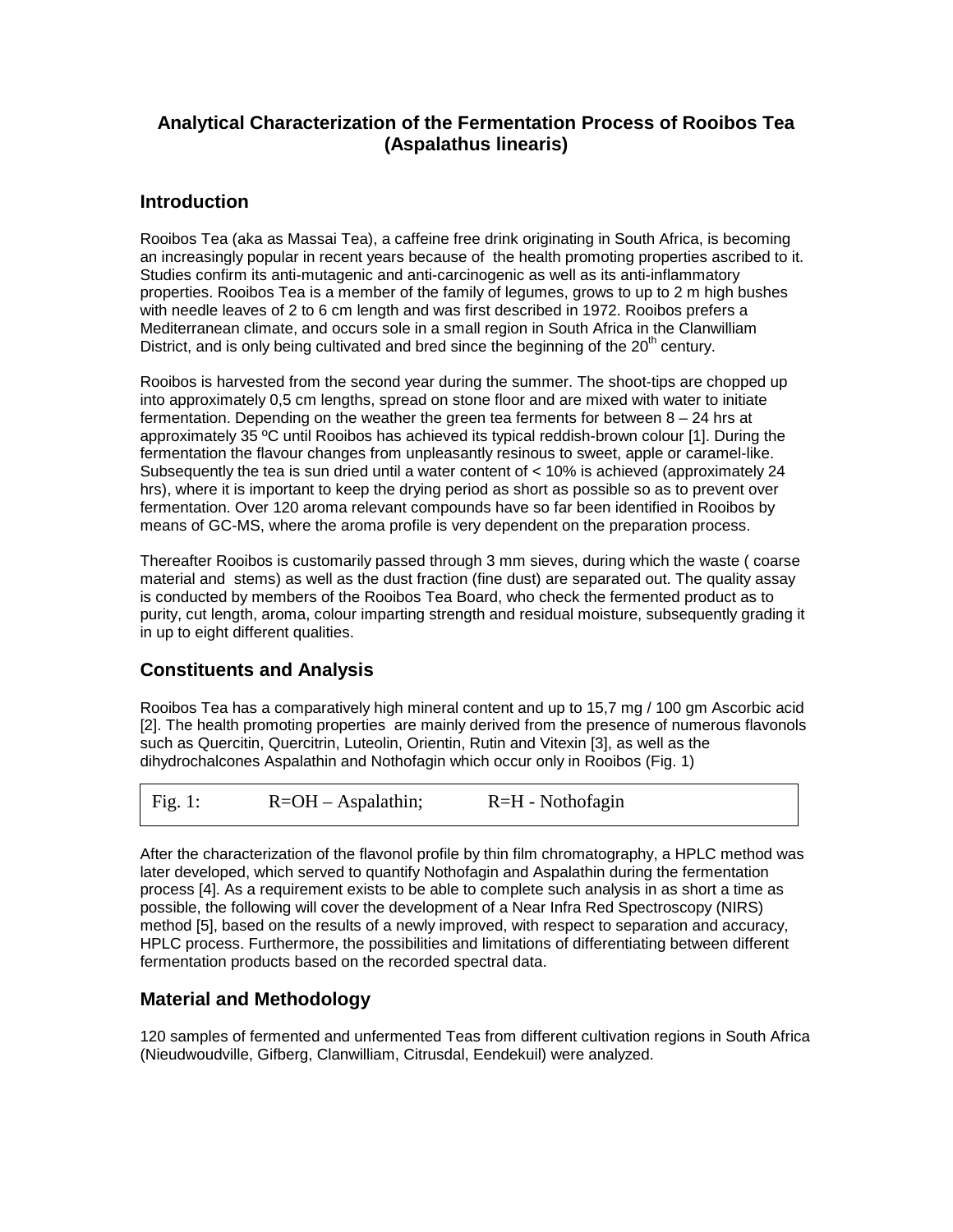# **Analytical Characterization of the Fermentation Process of Rooibos Tea (Aspalathus linearis)**

### **Introduction**

Rooibos Tea (aka as Massai Tea), a caffeine free drink originating in South Africa, is becoming an increasingly popular in recent years because of the health promoting properties ascribed to it. Studies confirm its anti-mutagenic and anti-carcinogenic as well as its anti-inflammatory properties. Rooibos Tea is a member of the family of legumes, grows to up to 2 m high bushes with needle leaves of 2 to 6 cm length and was first described in 1972. Rooibos prefers a Mediterranean climate, and occurs sole in a small region in South Africa in the Clanwilliam District, and is only being cultivated and bred since the beginning of the  $20<sup>th</sup>$  century.

Rooibos is harvested from the second year during the summer. The shoot-tips are chopped up into approximately 0,5 cm lengths, spread on stone floor and are mixed with water to initiate fermentation. Depending on the weather the green tea ferments for between 8 – 24 hrs at approximately 35 ºC until Rooibos has achieved its typical reddish-brown colour [1]. During the fermentation the flavour changes from unpleasantly resinous to sweet, apple or caramel-like. Subsequently the tea is sun dried until a water content of < 10% is achieved (approximately 24 hrs), where it is important to keep the drying period as short as possible so as to prevent over fermentation. Over 120 aroma relevant compounds have so far been identified in Rooibos by means of GC-MS, where the aroma profile is very dependent on the preparation process.

Thereafter Rooibos is customarily passed through 3 mm sieves, during which the waste ( coarse material and stems) as well as the dust fraction (fine dust) are separated out. The quality assay is conducted by members of the Rooibos Tea Board, who check the fermented product as to purity, cut length, aroma, colour imparting strength and residual moisture, subsequently grading it in up to eight different qualities.

# **Constituents and Analysis**

Rooibos Tea has a comparatively high mineral content and up to 15,7 mg / 100 gm Ascorbic acid [2]. The health promoting properties are mainly derived from the presence of numerous flavonols such as Quercitin, Quercitrin, Luteolin, Orientin, Rutin and Vitexin [3], as well as the dihydrochalcones Aspalathin and Nothofagin which occur only in Rooibos (Fig. 1)

|  | Fig. 1: | $R = OH - Aspalathin;$ | $R=H - \text{Nothofagin}$ |  |
|--|---------|------------------------|---------------------------|--|
|--|---------|------------------------|---------------------------|--|

After the characterization of the flavonol profile by thin film chromatography, a HPLC method was later developed, which served to quantify Nothofagin and Aspalathin during the fermentation process [4]. As a requirement exists to be able to complete such analysis in as short a time as possible, the following will cover the development of a Near Infra Red Spectroscopy (NIRS) method [5], based on the results of a newly improved, with respect to separation and accuracy, HPLC process. Furthermore, the possibilities and limitations of differentiating between different fermentation products based on the recorded spectral data.

# **Material and Methodology**

120 samples of fermented and unfermented Teas from different cultivation regions in South Africa (Nieudwoudville, Gifberg, Clanwilliam, Citrusdal, Eendekuil) were analyzed.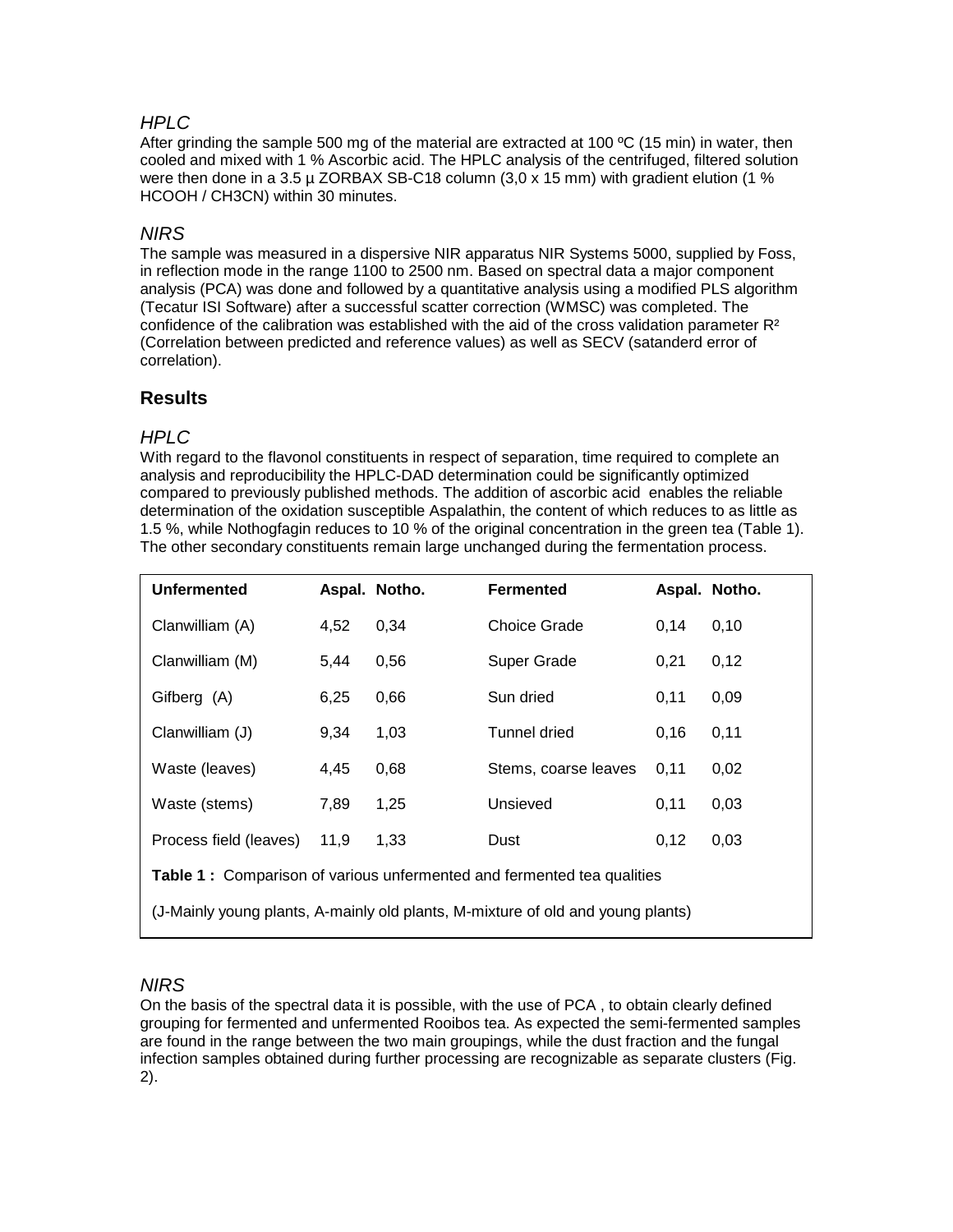#### *HPLC*

After grinding the sample 500 mg of the material are extracted at 100  $\rm{^{\circ}C}$  (15 min) in water, then cooled and mixed with 1 % Ascorbic acid. The HPLC analysis of the centrifuged, filtered solution were then done in a 3.5 µ ZORBAX SB-C18 column  $(3,0 \times 15 \text{ mm})$  with gradient elution (1 % HCOOH / CH3CN) within 30 minutes.

#### *NIRS*

The sample was measured in a dispersive NIR apparatus NIR Systems 5000, supplied by Foss, in reflection mode in the range 1100 to 2500 nm. Based on spectral data a major component analysis (PCA) was done and followed by a quantitative analysis using a modified PLS algorithm (Tecatur ISI Software) after a successful scatter correction (WMSC) was completed. The confidence of the calibration was established with the aid of the cross validation parameter  $R<sup>2</sup>$ (Correlation between predicted and reference values) as well as SECV (satanderd error of correlation).

# **Results**

#### *HPLC*

With regard to the flavonol constituents in respect of separation, time required to complete an analysis and reproducibility the HPLC-DAD determination could be significantly optimized compared to previously published methods. The addition of ascorbic acid enables the reliable determination of the oxidation susceptible Aspalathin, the content of which reduces to as little as 1.5 %, while Nothogfagin reduces to 10 % of the original concentration in the green tea (Table 1). The other secondary constituents remain large unchanged during the fermentation process.

| <b>Unfermented</b>                                                              |      | Aspal. Notho. | <b>Fermented</b>     |      | Aspal. Notho. |  |  |  |
|---------------------------------------------------------------------------------|------|---------------|----------------------|------|---------------|--|--|--|
| Clanwilliam (A)                                                                 | 4,52 | 0,34          | Choice Grade         | 0.14 | 0,10          |  |  |  |
| Clanwilliam (M)                                                                 | 5.44 | 0,56          | Super Grade          | 0,21 | 0,12          |  |  |  |
| Gifberg (A)                                                                     | 6,25 | 0,66          | Sun dried            | 0,11 | 0,09          |  |  |  |
| Clanwilliam (J)                                                                 | 9.34 | 1,03          | Tunnel dried         | 0,16 | 0,11          |  |  |  |
| Waste (leaves)                                                                  | 4.45 | 0,68          | Stems, coarse leaves | 0,11 | 0,02          |  |  |  |
| Waste (stems)                                                                   | 7,89 | 1,25          | Unsieved             | 0,11 | 0,03          |  |  |  |
| Process field (leaves)                                                          | 11,9 | 1,33          | Dust                 | 0,12 | 0,03          |  |  |  |
| Table 1: Comparison of various unfermented and fermented tea qualities          |      |               |                      |      |               |  |  |  |
| (J-Mainly young plants, A-mainly old plants, M-mixture of old and young plants) |      |               |                      |      |               |  |  |  |

# *NIRS*

On the basis of the spectral data it is possible, with the use of PCA , to obtain clearly defined grouping for fermented and unfermented Rooibos tea. As expected the semi-fermented samples are found in the range between the two main groupings, while the dust fraction and the fungal infection samples obtained during further processing are recognizable as separate clusters (Fig. 2).